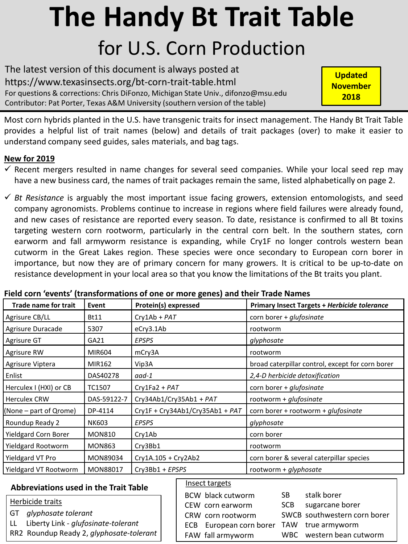# **The Handy Bt Trait Table** for U.S. Corn Production

The latest version of this document is always posted at https://www.texasinsects.org/bt-corn-trait-table.html For questions & corrections: Chris DiFonzo, Michigan State Univ., difonzo@msu.edu Contributor: Pat Porter, Texas A&M University (southern version of the table)

**Updated November 2018**

Most corn hybrids planted in the U.S. have transgenic traits for insect management. The Handy Bt Trait Table provides a helpful list of trait names (below) and details of trait packages (over) to make it easier to understand company seed guides, sales materials, and bag tags.

## **New for 2019**

- $\checkmark$  Recent mergers resulted in name changes for several seed companies. While your local seed rep may have a new business card, the names of trait packages remain the same, listed alphabetically on page 2.
- *Bt Resistance* is arguably the most important issue facing growers, extension entomologists, and seed company agronomists. Problems continue to increase in regions where field failures were already found, and new cases of resistance are reported every season. To date, resistance is confirmed to all Bt toxins targeting western corn rootworm, particularly in the central corn belt. In the southern states, corn earworm and fall armyworm resistance is expanding, while Cry1F no longer controls western bean cutworm in the Great Lakes region. These species were once secondary to European corn borer in importance, but now they are of primary concern for many growers. It is critical to be up-to-date on resistance development in your local area so that you know the limitations of the Bt traits you plant.

| <b>Trade name for trait</b>           |                                 |                                 |                                                     |  |  |  |  |  |
|---------------------------------------|---------------------------------|---------------------------------|-----------------------------------------------------|--|--|--|--|--|
|                                       | Event                           | Protein(s) expressed            | <b>Primary Insect Targets + Herbicide tolerance</b> |  |  |  |  |  |
| Agrisure CB/LL                        | <b>Bt11</b>                     | $Cry1Ab + PAT$                  | corn borer + glufosinate                            |  |  |  |  |  |
| Agrisure Duracade                     | 5307                            | eCry3.1Ab                       | rootworm                                            |  |  |  |  |  |
| Agrisure GT                           | GA21                            | <b>EPSPS</b>                    | glyphosate                                          |  |  |  |  |  |
| Agrisure RW                           | MIR604                          | mCry3A                          | rootworm                                            |  |  |  |  |  |
| Agrisure Viptera                      | MIR162                          | Vip3A                           | broad caterpillar control, except for corn borer    |  |  |  |  |  |
| Enlist                                | DAS40278                        | aad-1                           | 2,4-D herbicide detoxification                      |  |  |  |  |  |
| Herculex I (HXI) or CB                | TC1507                          | $Cry1Fa2 + PAT$                 | corn borer + glufosinate                            |  |  |  |  |  |
| l Herculex CRW                        | DAS-59122-7                     | Cry34Ab1/Cry35Ab1 + PAT         | rootworm + glufosinate                              |  |  |  |  |  |
| $(None - part of Qrome)$              | DP-4114                         | Cry1F + Cry34Ab1/Cry35Ab1 + PAT | corn borer + rootworm + glufosinate                 |  |  |  |  |  |
| Roundup Ready 2                       | <b>EPSPS</b><br>NK603           |                                 | glyphosate                                          |  |  |  |  |  |
| Yieldgard Corn Borer<br><b>MON810</b> |                                 | Cry1Ab                          | corn borer                                          |  |  |  |  |  |
| Yieldgard Rootworm                    | <b>MON863</b>                   | Cry3Bb1                         | rootworm                                            |  |  |  |  |  |
| Yieldgard VT Pro                      | Cry1A.105 + Cry2Ab2<br>MON89034 |                                 | corn borer & several caterpillar species            |  |  |  |  |  |
| Yieldgard VT Rootworm<br>MON88017     |                                 | Cry3Bb1 + EPSPS                 | rootworm + glyphosate                               |  |  |  |  |  |
|                                       |                                 |                                 |                                                     |  |  |  |  |  |

### **Field corn 'events' (transformations of one or more genes) and their Trade Names**

### **Abbreviations used in the Trait Table**

#### Herbicide traits

- GT *glyphosate tolerant*
- LL Liberty Link *glufosinate-tolerant*
- RR2 Roundup Ready 2, *glyphosate-tolerant*

#### Insect targets

| 1113222221522                             |            |                              |
|-------------------------------------------|------------|------------------------------|
| <b>BCW</b> black cutworm                  | SB.        | stalk borer                  |
| CEW corn earworm                          | <b>SCB</b> | sugarcane borer              |
| CRW corn rootworm                         |            | SWCB southwestern corn borer |
| ECB European corn borer TAW true armyworm |            |                              |
| FAW fall armyworm                         |            | WBC western bean cutworm     |